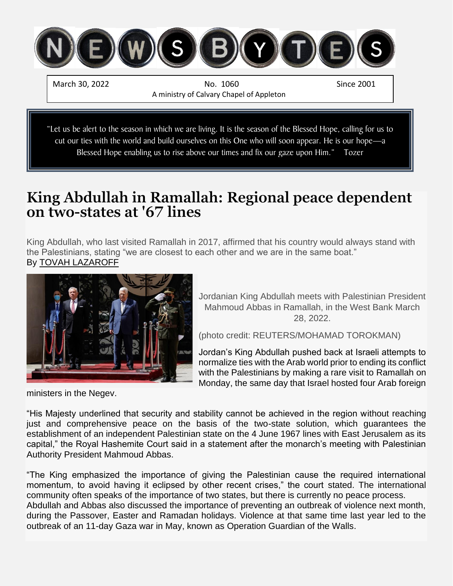

March 30, 2022 **No. 1060** No. 1060 Since 2001 A ministry of Calvary Chapel of Appleton

"Let us be alert to the season in which we are living. It is the season of the Blessed Hope, calling for us to cut our ties with the world and build ourselves on this One who will soon appear. He is our hope—a Blessed Hope enabling us to rise above our times and fix our gaze upon Him." Tozer

### **King Abdullah in Ramallah: Regional peace dependent on two-states at '67 lines**

King Abdullah, who last visited Ramallah in 2017, affirmed that his country would always stand with the Palestinians, stating "we are closest to each other and we are in the same boat." By [TOVAH LAZAROFF](https://www.jpost.com/author/tovah-lazaroff)



Jordanian King Abdullah meets with Palestinian President Mahmoud Abbas in Ramallah, in the West Bank March 28, 2022.

(photo credit: REUTERS/MOHAMAD TOROKMAN)

Jordan's King Abdullah pushed back at Israeli attempts to normalize ties with the Arab world prior to ending its conflict with the Palestinians by making a rare visit to [Ramallah](https://www.jpost.com/middle-east/article-702482) on Monday, the same day that Israel hosted four Arab foreign

ministers in the Negev.

"His Majesty underlined that security and stability cannot be achieved in the region without reaching just and comprehensive peace on the basis of the two-state solution, which guarantees the establishment of an independent Palestinian state on the 4 June 1967 lines with East Jerusalem as its capital," the Royal Hashemite Court said in a statement after the monarch's meeting with Palestinian Authority President Mahmoud Abbas.

"The King emphasized the importance of giving the Palestinian cause the required international momentum, to avoid having it eclipsed by other recent crises," the court stated. The international community often speaks of the importance of two states, but there is currently no peace process. Abdullah and Abbas also discussed the importance of preventing an outbreak of violence next month, during the Passover, Easter and Ramadan holidays. Violence at that same time last year led to the outbreak of an 11-day Gaza war in May, known as [Operation Guardian of the Walls.](https://www.jpost.com/middle-east/iran-news/article-695374)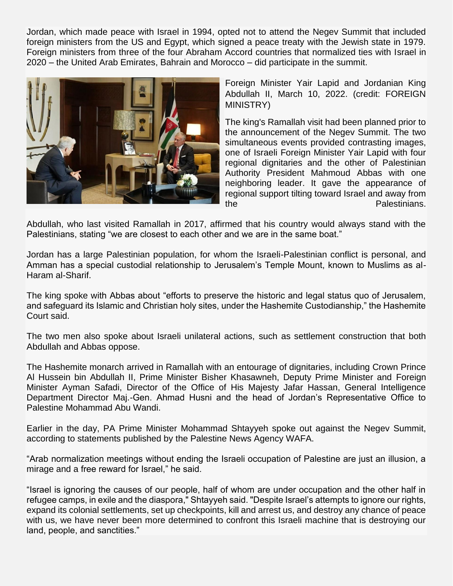Jordan, which made peace with Israel in 1994, opted not to attend the Negev Summit that included foreign ministers from the US and Egypt, which signed a peace treaty with the Jewish state in 1979. Foreign ministers from three of the four Abraham Accord countries that normalized ties with Israel in 2020 – the United Arab Emirates, Bahrain and Morocco – did participate in the summit.



Foreign Minister Yair Lapid and Jordanian King Abdullah II, March 10, 2022. (credit: FOREIGN MINISTRY)

The king's Ramallah visit had been planned prior to the announcement of the Negev Summit. The two simultaneous events provided contrasting images, one of Israeli Foreign Minister Yair Lapid with four regional dignitaries and the other of Palestinian Authority President Mahmoud Abbas with one neighboring leader. It gave the appearance of regional support tilting toward Israel and away from the **Palestinians**.

Abdullah, who last visited Ramallah in 2017, affirmed that his country would always stand with the Palestinians, stating "we are closest to each other and we are in the same boat."

Jordan has a large Palestinian population, for whom the Israeli-Palestinian conflict is personal, and Amman has a special custodial relationship to Jerusalem's Temple Mount, known to Muslims as al-Haram al-Sharif.

The king spoke with Abbas about "efforts to preserve the historic and legal status quo of Jerusalem, and safeguard its Islamic and Christian holy sites, under the Hashemite Custodianship," the Hashemite Court said.

The two men also spoke about Israeli unilateral actions, such as settlement construction that both Abdullah and Abbas oppose.

The Hashemite monarch arrived in Ramallah with an entourage of dignitaries, including Crown Prince Al Hussein bin Abdullah II, Prime Minister Bisher Khasawneh, Deputy Prime Minister and Foreign Minister Ayman Safadi, Director of the Office of His Majesty Jafar Hassan, General Intelligence Department Director Maj.-Gen. Ahmad Husni and the head of Jordan's Representative Office to Palestine Mohammad Abu Wandi.

Earlier in the day, PA Prime Minister Mohammad Shtayyeh spoke out against the Negev Summit, according to statements published by the Palestine News Agency WAFA.

"Arab normalization meetings without ending the Israeli occupation of Palestine are just an illusion, a mirage and a free reward for Israel," he said.

"Israel is ignoring the causes of our people, half of whom are under occupation and the other half in refugee camps, in exile and the diaspora," Shtayyeh said. "Despite Israel's attempts to ignore our rights, expand its colonial settlements, set up checkpoints, kill and arrest us, and destroy any chance of peace with us, we have never been more determined to confront this Israeli machine that is destroying our land, people, and sanctities."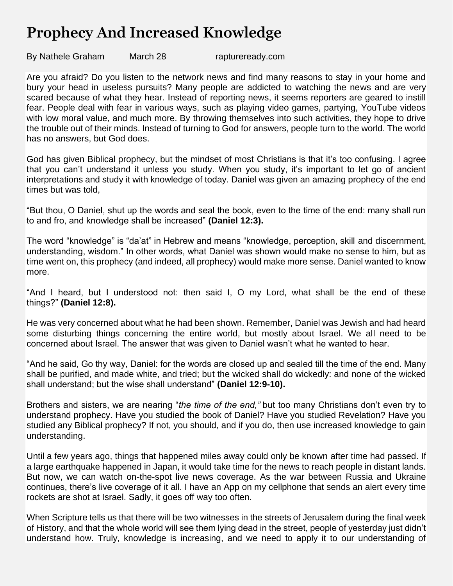## **Prophecy And Increased Knowledge**

By Nathele Graham March 28 raptureready.com

Are you afraid? Do you listen to the network news and find many reasons to stay in your home and bury your head in useless pursuits? Many people are addicted to watching the news and are very scared because of what they hear. Instead of reporting news, it seems reporters are geared to instill fear. People deal with fear in various ways, such as playing video games, partying, YouTube videos with low moral value, and much more. By throwing themselves into such activities, they hope to drive the trouble out of their minds. Instead of turning to God for answers, people turn to the world. The world has no answers, but God does.

God has given Biblical prophecy, but the mindset of most Christians is that it's too confusing. I agree that you can't understand it unless you study. When you study, it's important to let go of ancient interpretations and study it with knowledge of today. Daniel was given an amazing prophecy of the end times but was told,

"But thou, O Daniel, shut up the words and seal the book, even to the time of the end: many shall run to and fro, and knowledge shall be increased" **(Daniel 12:3).**

The word "knowledge" is "da'at" in Hebrew and means "knowledge, perception, skill and discernment, understanding, wisdom." In other words, what Daniel was shown would make no sense to him, but as time went on, this prophecy (and indeed, all prophecy) would make more sense. Daniel wanted to know more.

"And I heard, but I understood not: then said I, O my Lord, what shall be the end of these things?" **(Daniel 12:8).**

He was very concerned about what he had been shown. Remember, Daniel was Jewish and had heard some disturbing things concerning the entire world, but mostly about Israel. We all need to be concerned about Israel. The answer that was given to Daniel wasn't what he wanted to hear.

"And he said, Go thy way, Daniel: for the words are closed up and sealed till the time of the end. Many shall be purified, and made white, and tried; but the wicked shall do wickedly: and none of the wicked shall understand; but the wise shall understand" **(Daniel 12:9-10).**

Brothers and sisters, we are nearing "*the time of the end,"* but too many Christians don't even try to understand prophecy. Have you studied the book of Daniel? Have you studied Revelation? Have you studied any Biblical prophecy? If not, you should, and if you do, then use increased knowledge to gain understanding.

Until a few years ago, things that happened miles away could only be known after time had passed. If a large earthquake happened in Japan, it would take time for the news to reach people in distant lands. But now, we can watch on-the-spot live news coverage. As the war between Russia and Ukraine continues, there's live coverage of it all. I have an App on my cellphone that sends an alert every time rockets are shot at Israel. Sadly, it goes off way too often.

When Scripture tells us that there will be two witnesses in the streets of Jerusalem during the final week of History, and that the whole world will see them lying dead in the street, people of yesterday just didn't understand how. Truly, knowledge is increasing, and we need to apply it to our understanding of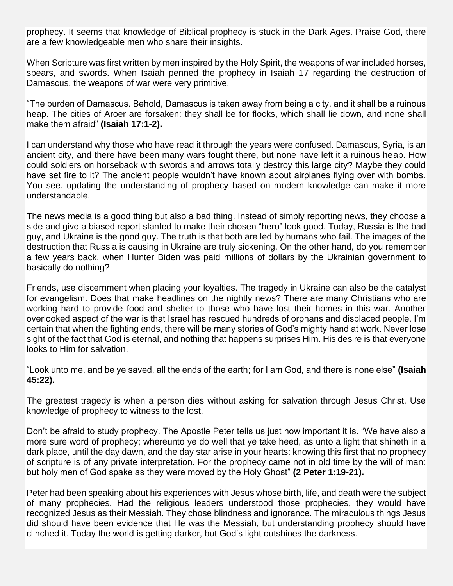prophecy. It seems that knowledge of Biblical prophecy is stuck in the Dark Ages. Praise God, there are a few knowledgeable men who share their insights.

When Scripture was first written by men inspired by the Holy Spirit, the weapons of war included horses, spears, and swords. When Isaiah penned the prophecy in Isaiah 17 regarding the destruction of Damascus, the weapons of war were very primitive.

"The burden of Damascus. Behold, Damascus is taken away from being a city, and it shall be a ruinous heap. The cities of Aroer are forsaken: they shall be for flocks, which shall lie down, and none shall make them afraid" **(Isaiah 17:1-2).**

I can understand why those who have read it through the years were confused. Damascus, Syria, is an ancient city, and there have been many wars fought there, but none have left it a ruinous heap. How could soldiers on horseback with swords and arrows totally destroy this large city? Maybe they could have set fire to it? The ancient people wouldn't have known about airplanes flying over with bombs. You see, updating the understanding of prophecy based on modern knowledge can make it more understandable.

The news media is a good thing but also a bad thing. Instead of simply reporting news, they choose a side and give a biased report slanted to make their chosen "hero" look good. Today, Russia is the bad guy, and Ukraine is the good guy. The truth is that both are led by humans who fail. The images of the destruction that Russia is causing in Ukraine are truly sickening. On the other hand, do you remember a few years back, when Hunter Biden was paid millions of dollars by the Ukrainian government to basically do nothing?

Friends, use discernment when placing your loyalties. The tragedy in Ukraine can also be the catalyst for evangelism. Does that make headlines on the nightly news? There are many Christians who are working hard to provide food and shelter to those who have lost their homes in this war. Another overlooked aspect of the war is that Israel has rescued hundreds of orphans and displaced people. I'm certain that when the fighting ends, there will be many stories of God's mighty hand at work. Never lose sight of the fact that God is eternal, and nothing that happens surprises Him. His desire is that everyone looks to Him for salvation.

"Look unto me, and be ye saved, all the ends of the earth; for I am God, and there is none else" **(Isaiah 45:22).**

The greatest tragedy is when a person dies without asking for salvation through Jesus Christ. Use knowledge of prophecy to witness to the lost.

Don't be afraid to study prophecy. The Apostle Peter tells us just how important it is. "We have also a more sure word of prophecy; whereunto ye do well that ye take heed, as unto a light that shineth in a dark place, until the day dawn, and the day star arise in your hearts: knowing this first that no prophecy of scripture is of any private interpretation. For the prophecy came not in old time by the will of man: but holy men of God spake as they were moved by the Holy Ghost" **(2 Peter 1:19-21).**

Peter had been speaking about his experiences with Jesus whose birth, life, and death were the subject of many prophecies. Had the religious leaders understood those prophecies, they would have recognized Jesus as their Messiah. They chose blindness and ignorance. The miraculous things Jesus did should have been evidence that He was the Messiah, but understanding prophecy should have clinched it. Today the world is getting darker, but God's light outshines the darkness.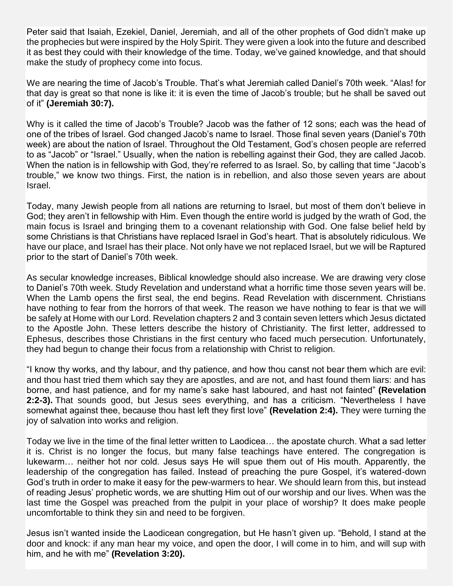Peter said that Isaiah, Ezekiel, Daniel, Jeremiah, and all of the other prophets of God didn't make up the prophecies but were inspired by the Holy Spirit. They were given a look into the future and described it as best they could with their knowledge of the time. Today, we've gained knowledge, and that should make the study of prophecy come into focus.

We are nearing the time of Jacob's Trouble. That's what Jeremiah called Daniel's 70th week. "Alas! for that day is great so that none is like it: it is even the time of Jacob's trouble; but he shall be saved out of it" **(Jeremiah 30:7).**

Why is it called the time of Jacob's Trouble? Jacob was the father of 12 sons; each was the head of one of the tribes of Israel. God changed Jacob's name to Israel. Those final seven years (Daniel's 70th week) are about the nation of Israel. Throughout the Old Testament, God's chosen people are referred to as "Jacob" or "Israel." Usually, when the nation is rebelling against their God, they are called Jacob. When the nation is in fellowship with God, they're referred to as Israel. So, by calling that time "Jacob's trouble," we know two things. First, the nation is in rebellion, and also those seven years are about Israel.

Today, many Jewish people from all nations are returning to Israel, but most of them don't believe in God; they aren't in fellowship with Him. Even though the entire world is judged by the wrath of God, the main focus is Israel and bringing them to a covenant relationship with God. One false belief held by some Christians is that Christians have replaced Israel in God's heart. That is absolutely ridiculous. We have our place, and Israel has their place. Not only have we not replaced Israel, but we will be Raptured prior to the start of Daniel's 70th week.

As secular knowledge increases, Biblical knowledge should also increase. We are drawing very close to Daniel's 70th week. Study Revelation and understand what a horrific time those seven years will be. When the Lamb opens the first seal, the end begins. Read Revelation with discernment. Christians have nothing to fear from the horrors of that week. The reason we have nothing to fear is that we will be safely at Home with our Lord. Revelation chapters 2 and 3 contain seven letters which Jesus dictated to the Apostle John. These letters describe the history of Christianity. The first letter, addressed to Ephesus, describes those Christians in the first century who faced much persecution. Unfortunately, they had begun to change their focus from a relationship with Christ to religion.

"I know thy works, and thy labour, and thy patience, and how thou canst not bear them which are evil: and thou hast tried them which say they are apostles, and are not, and hast found them liars: and has borne, and hast patience, and for my name's sake hast laboured, and hast not fainted" **(Revelation 2:2-3).** That sounds good, but Jesus sees everything, and has a criticism. "Nevertheless I have somewhat against thee, because thou hast left they first love" **(Revelation 2:4).** They were turning the joy of salvation into works and religion.

Today we live in the time of the final letter written to Laodicea… the apostate church. What a sad letter it is. Christ is no longer the focus, but many false teachings have entered. The congregation is lukewarm… neither hot nor cold. Jesus says He will spue them out of His mouth. Apparently, the leadership of the congregation has failed. Instead of preaching the pure Gospel, it's watered-down God's truth in order to make it easy for the pew-warmers to hear. We should learn from this, but instead of reading Jesus' prophetic words, we are shutting Him out of our worship and our lives. When was the last time the Gospel was preached from the pulpit in your place of worship? It does make people uncomfortable to think they sin and need to be forgiven.

Jesus isn't wanted inside the Laodicean congregation, but He hasn't given up. "Behold, I stand at the door and knock: if any man hear my voice, and open the door, I will come in to him, and will sup with him, and he with me" **(Revelation 3:20).**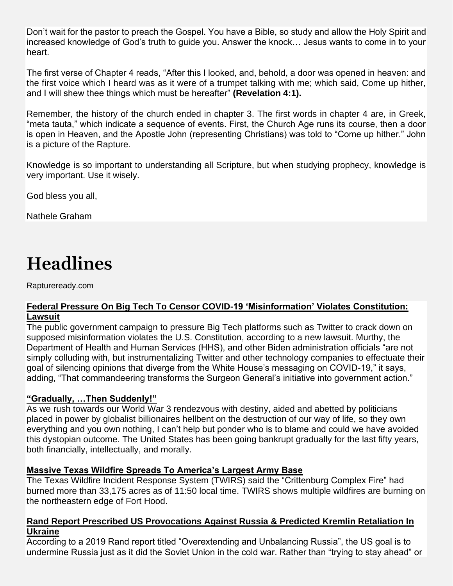Don't wait for the pastor to preach the Gospel. You have a Bible, so study and allow the Holy Spirit and increased knowledge of God's truth to guide you. Answer the knock… Jesus wants to come in to your heart.

The first verse of Chapter 4 reads, "After this I looked, and, behold, a door was opened in heaven: and the first voice which I heard was as it were of a trumpet talking with me; which said, Come up hither, and I will shew thee things which must be hereafter" **(Revelation 4:1).**

Remember, the history of the church ended in chapter 3. The first words in chapter 4 are, in Greek, "meta tauta," which indicate a sequence of events. First, the Church Age runs its course, then a door is open in Heaven, and the Apostle John (representing Christians) was told to "Come up hither." John is a picture of the Rapture.

Knowledge is so important to understanding all Scripture, but when studying prophecy, knowledge is very important. Use it wisely.

God bless you all,

Nathele Graham

# **Headlines**

Raptureready.com

#### **Federal [Pressure On Big Tech To Censor COVID-19 'Misinformation' Violates Constitution:](https://www.zerohedge.com/covid-19/federal-pressure-big-tech-censor-covid-19-misinformation-violates-constitution-lawsuit)  [Lawsuit](https://www.zerohedge.com/covid-19/federal-pressure-big-tech-censor-covid-19-misinformation-violates-constitution-lawsuit)**

The public government campaign to pressure Big Tech platforms such as Twitter to crack down on supposed misinformation violates the U.S. Constitution, according to a new lawsuit. Murthy, the Department of Health and Human Services (HHS), and other Biden administration officials "are not simply colluding with, but instrumentalizing Twitter and other technology companies to effectuate their goal of silencing opinions that diverge from the White House's messaging on COVID-19," it says, adding, "That commandeering transforms the Surgeon General's initiative into government action."

#### **["Gradually, …Then Suddenly!"](https://www.zerohedge.com/geopolitical/gradually-then-suddenly)**

As we rush towards our World War 3 rendezvous with destiny, aided and abetted by politicians placed in power by globalist billionaires hellbent on the destruction of our way of life, so they own everything and you own nothing, I can't help but ponder who is to blame and could we have avoided this dystopian outcome. The United States has been going bankrupt gradually for the last fifty years, both financially, intellectually, and morally.

#### **[Massive Texas Wildfire Spreads To America's Largest Army Base](https://www.zerohedge.com/weather/massive-wildfire-spreads-americas-largest-army-base)**

The Texas Wildfire Incident Response System (TWIRS) said the "Crittenburg Complex Fire" had burned more than 33,175 acres as of 11:50 local time. TWIRS shows multiple wildfires are burning on the northeastern edge of Fort Hood.

#### **[Rand Report Prescribed US Provocations Against Russia & Predicted Kremlin Retaliation In](https://www.zerohedge.com/geopolitical/rand-report-prescribed-us-provocations-against-russia-predicted-kremlin-retaliation)  [Ukraine](https://www.zerohedge.com/geopolitical/rand-report-prescribed-us-provocations-against-russia-predicted-kremlin-retaliation)**

According to a 2019 Rand report titled "Overextending and Unbalancing Russia", the US goal is to undermine Russia just as it did the Soviet Union in the cold war. Rather than "trying to stay ahead" or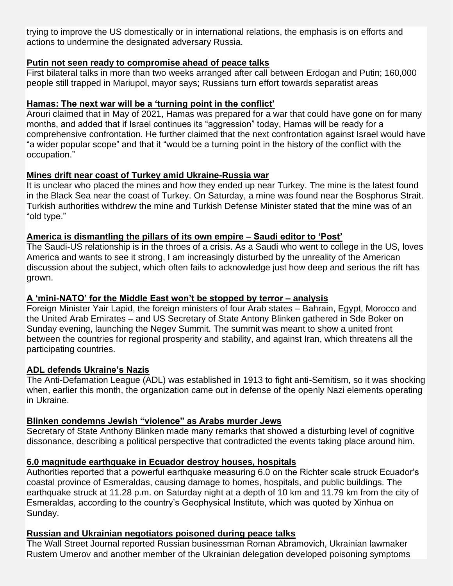trying to improve the US domestically or in international relations, the emphasis is on efforts and actions to undermine the designated adversary Russia.

#### **[Putin not seen ready to compromise ahead of peace talks](https://www.ynetnews.com/article/h16ehojmq)**

First bilateral talks in more than two weeks arranged after call between Erdogan and Putin; 160,000 people still trapped in Mariupol, mayor says; Russians turn effort towards separatist areas

#### **[Hamas: The next war will be a 'turning point in the conflict'](https://www.israelnationalnews.com/news/324800)**

Arouri claimed that in May of 2021, Hamas was prepared for a war that could have gone on for many months, and added that if Israel continues its "aggression" today, Hamas will be ready for a comprehensive confrontation. He further claimed that the next confrontation against Israel would have "a wider popular scope" and that it "would be a turning point in the history of the conflict with the occupation."

#### **[Mines drift near coast of Turkey amid Ukraine-Russia war](https://www.jpost.com/international/article-702516)**

It is unclear who placed the mines and how they ended up near Turkey. The mine is the latest found in the Black Sea near the coast of Turkey. On Saturday, a mine was found near the Bosphorus Strait. Turkish authorities withdrew the mine and Turkish Defense Minister stated that the mine was of an "old type."

#### **[America is dismantling the pillars of its own empire –](https://www.jpost.com/opinion/article-702499) Saudi editor to 'Post'**

The Saudi-US relationship is in the throes of a crisis. As a Saudi who went to college in the US, loves America and wants to see it strong, I am increasingly disturbed by the unreality of the American discussion about the subject, which often fails to acknowledge just how deep and serious the rift has grown.

#### **[A 'mini-NATO' for the Middle East won't be stopped by terror –](https://www.jpost.com/middle-east/article-702566) analysis**

Foreign Minister Yair Lapid, the foreign ministers of four Arab states – Bahrain, Egypt, Morocco and the United Arab Emirates – and US Secretary of State Antony Blinken gathered in Sde Boker on Sunday evening, launching the Negev Summit. The summit was meant to show a united front between the countries for regional prosperity and stability, and against Iran, which threatens all the participating countries.

#### **[ADL defends Ukraine's Nazis](https://www.israel365news.com/267899/adl-defends-ukraines-nazis/)**

The Anti-Defamation League (ADL) was established in 1913 to fight anti-Semitism, so it was shocking when, earlier this month, the organization came out in defense of the openly Nazi elements operating in Ukraine.

#### **[Blinken condemns Jewish "violence" as Arabs murder Jews](https://www.israel365news.com/267904/blinken-condemns-jewish-violence-while-arabs-murder-jews/)**

Secretary of State Anthony Blinken made many remarks that showed a disturbing level of cognitive dissonance, describing a political perspective that contradicted the events taking place around him.

#### **[6.0 magnitude earthquake in Ecuador destroy houses, hospitals](https://insiderpaper.com/6-0-magnitude-earthquake-in-ecuador-destroy-houses-hospitals/)**

Authorities reported that a powerful earthquake measuring 6.0 on the Richter scale struck Ecuador's coastal province of Esmeraldas, causing damage to homes, hospitals, and public buildings. The earthquake struck at 11.28 p.m. on Saturday night at a depth of 10 km and 11.79 km from the city of Esmeraldas, according to the country's Geophysical Institute, which was quoted by Xinhua on Sunday.

#### **[Russian and Ukrainian negotiators poisoned during peace talks](https://americanmilitarynews.com/2022/03/report-russian-and-ukrainian-negotiators-poisoned-during-peace-talks/?utm_campaign=DailyEmails&utm_source=AM_Email&utm_medium=email&utm_source=Master_List&utm_campaign=887c09edad-EMAIL_CAMPAIGN_2022_03_28_09_59&utm_medium=email&utm_term=0_9c4ef113e0-887c09edad-61619259&mc_cid=887c09edad&mc_eid=d4a810d349)**

The Wall Street Journal reported Russian businessman Roman Abramovich, Ukrainian lawmaker Rustem Umerov and another member of the Ukrainian delegation developed poisoning symptoms